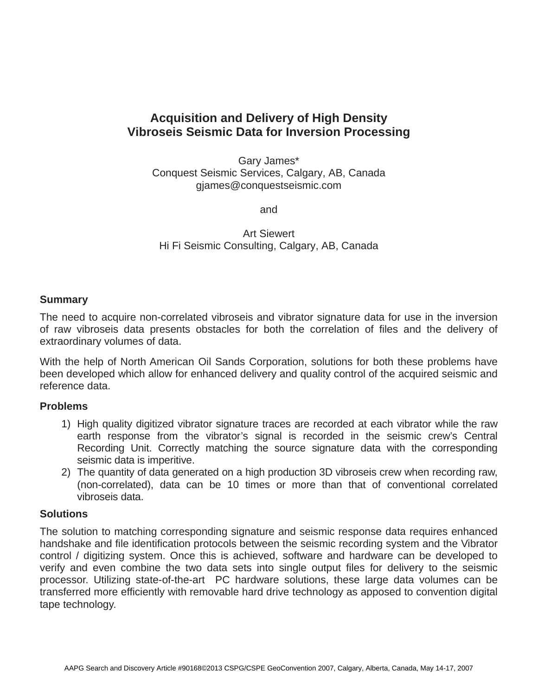# **Acquisition and Delivery of High Density Vibroseis Seismic Data for Inversion Processing**

Gary James\* Conquest Seismic Services, Calgary, AB, Canada gjames@conquestseismic.com

and

Art Siewert Hi Fi Seismic Consulting, Calgary, AB, Canada

# **Summary**

The need to acquire non-correlated vibroseis and vibrator signature data for use in the inversion of raw vibroseis data presents obstacles for both the correlation of files and the delivery of extraordinary volumes of data.

With the help of North American Oil Sands Corporation, solutions for both these problems have been developed which allow for enhanced delivery and quality control of the acquired seismic and reference data.

# **Problems**

- 1) High quality digitized vibrator signature traces are recorded at each vibrator while the raw earth response from the vibrator's signal is recorded in the seismic crew's Central Recording Unit. Correctly matching the source signature data with the corresponding seismic data is imperitive.
- 2) The quantity of data generated on a high production 3D vibroseis crew when recording raw, (non-correlated), data can be 10 times or more than that of conventional correlated vibroseis data.

#### **Solutions**

The solution to matching corresponding signature and seismic response data requires enhanced handshake and file identification protocols between the seismic recording system and the Vibrator control / digitizing system. Once this is achieved, software and hardware can be developed to verify and even combine the two data sets into single output files for delivery to the seismic processor. Utilizing state-of-the-art PC hardware solutions, these large data volumes can be transferred more efficiently with removable hard drive technology as apposed to convention digital tape technology.